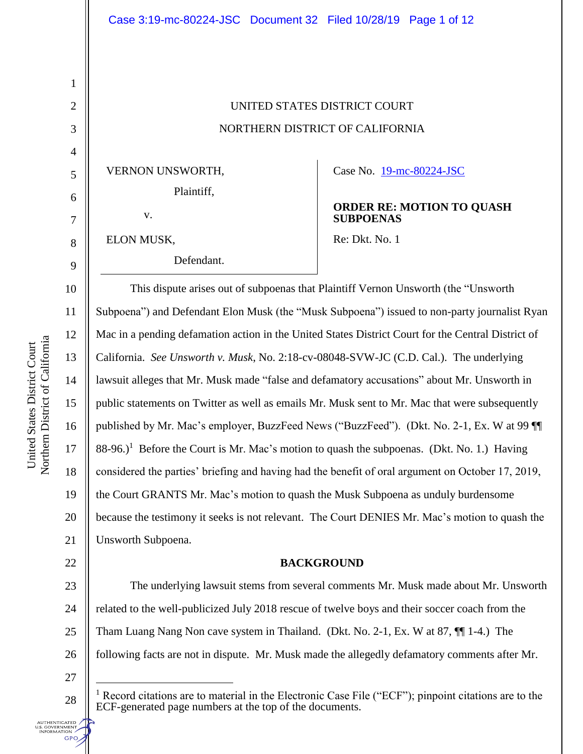# UNITED STATES DISTRICT COURT NORTHERN DISTRICT OF CALIFORNIA

VERNON UNSWORTH,

ELON MUSK,

v.

1

2

3

4

5

6

7

8

9

17

22

Defendant.

Case No. [19-mc-80224-JSC](https://ecf.cand.uscourts.gov/cgi-bin/DktRpt.pl?348285) 

## **ORDER RE: MOTION TO QUASH SUBPOENAS**

Re: Dkt. No. 1

10 11 12 13 14 15 16 18 19 20 21 This dispute arises out of subpoenas that Plaintiff Vernon Unsworth (the "Unsworth Subpoena") and Defendant Elon Musk (the "Musk Subpoena") issued to non-party journalist Ryan Mac in a pending defamation action in the United States District Court for the Central District of California. *See Unsworth v. Musk*, No. 2:18-cv-08048-SVW-JC (C.D. Cal.). The underlying lawsuit alleges that Mr. Musk made "false and defamatory accusations" about Mr. Unsworth in public statements on Twitter as well as emails Mr. Musk sent to Mr. Mac that were subsequently published by Mr. Mac's employer, BuzzFeed News ("BuzzFeed"). (Dkt. No. 2-1, Ex. W at 99 ¶¶  $88-96$ .)<sup>1</sup> Before the Court is Mr. Mac's motion to quash the subpoenas. (Dkt. No. 1.) Having considered the parties' briefing and having had the benefit of oral argument on October 17, 2019, the Court GRANTS Mr. Mac's motion to quash the Musk Subpoena as unduly burdensome because the testimony it seeks is not relevant. The Court DENIES Mr. Mac's motion to quash the Unsworth Subpoena.

## **BACKGROUND**

23 24 25 26 The underlying lawsuit stems from several comments Mr. Musk made about Mr. Unsworth related to the well-publicized July 2018 rescue of twelve boys and their soccer coach from the Tham Luang Nang Non cave system in Thailand. (Dkt. No. 2-1, Ex. W at 87, ¶¶ 1-4.) The following facts are not in dispute. Mr. Musk made the allegedly defamatory comments after Mr.

27

 $\overline{a}$ 

28

S. GOVERNMENT<br>INFORMATION **GPO** 

<sup>1</sup> Record citations are to material in the Electronic Case File ("ECF"); pinpoint citations are to the ECF-generated page numbers at the top of the documents.

Northern District of California Northern District of California United States District Court United States District Court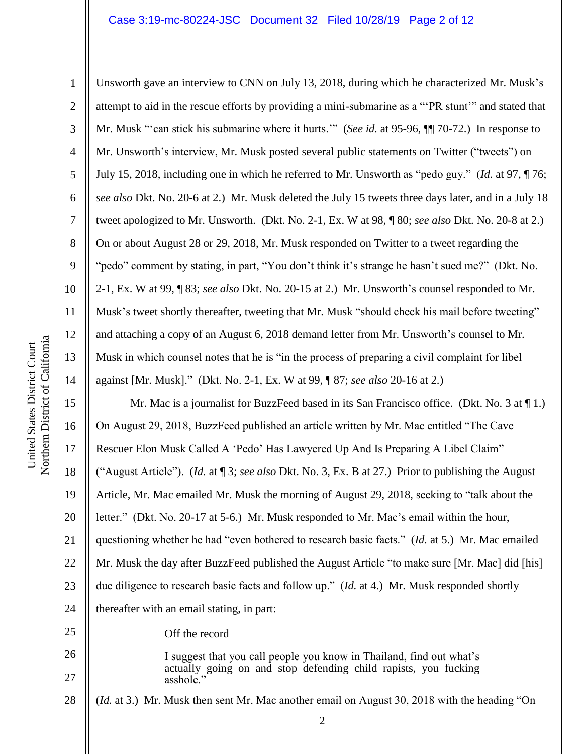#### Case 3:19-mc-80224-JSC Document 32 Filed 10/28/19 Page 2 of 12

25

26

27

1 2 3 4 5 6 7 8 9 10 11 12 13 14 Unsworth gave an interview to CNN on July 13, 2018, during which he characterized Mr. Musk's attempt to aid in the rescue efforts by providing a mini-submarine as a "'PR stunt'" and stated that Mr. Musk "'can stick his submarine where it hurts.'" (*See id.* at 95-96, ¶¶ 70-72.) In response to Mr. Unsworth's interview, Mr. Musk posted several public statements on Twitter ("tweets") on July 15, 2018, including one in which he referred to Mr. Unsworth as "pedo guy." (*Id.* at 97, ¶ 76; *see also* Dkt. No. 20-6 at 2.) Mr. Musk deleted the July 15 tweets three days later, and in a July 18 tweet apologized to Mr. Unsworth. (Dkt. No. 2-1, Ex. W at 98, ¶ 80; *see also* Dkt. No. 20-8 at 2.) On or about August 28 or 29, 2018, Mr. Musk responded on Twitter to a tweet regarding the "pedo" comment by stating, in part, "You don't think it's strange he hasn't sued me?" (Dkt. No. 2-1, Ex. W at 99, ¶ 83; *see also* Dkt. No. 20-15 at 2.) Mr. Unsworth's counsel responded to Mr. Musk's tweet shortly thereafter, tweeting that Mr. Musk "should check his mail before tweeting" and attaching a copy of an August 6, 2018 demand letter from Mr. Unsworth's counsel to Mr. Musk in which counsel notes that he is "in the process of preparing a civil complaint for libel against [Mr. Musk]." (Dkt. No. 2-1, Ex. W at 99, ¶ 87; *see also* 20-16 at 2.)

15 16 17 18 19 20 21 22 23 24 Mr. Mac is a journalist for BuzzFeed based in its San Francisco office. (Dkt. No. 3 at  $\P$  1.) On August 29, 2018, BuzzFeed published an article written by Mr. Mac entitled "The Cave Rescuer Elon Musk Called A 'Pedo' Has Lawyered Up And Is Preparing A Libel Claim" ("August Article"). (*Id.* at ¶ 3; *see also* Dkt. No. 3, Ex. B at 27.) Prior to publishing the August Article, Mr. Mac emailed Mr. Musk the morning of August 29, 2018, seeking to "talk about the letter." (Dkt. No. 20-17 at 5-6.) Mr. Musk responded to Mr. Mac's email within the hour, questioning whether he had "even bothered to research basic facts." (*Id.* at 5.) Mr. Mac emailed Mr. Musk the day after BuzzFeed published the August Article "to make sure [Mr. Mac] did [his] due diligence to research basic facts and follow up." (*Id.* at 4.) Mr. Musk responded shortly thereafter with an email stating, in part:

Off the record

I suggest that you call people you know in Thailand, find out what's actually going on and stop defending child rapists, you fucking asshole.'

28 (*Id.* at 3.) Mr. Musk then sent Mr. Mac another email on August 30, 2018 with the heading "On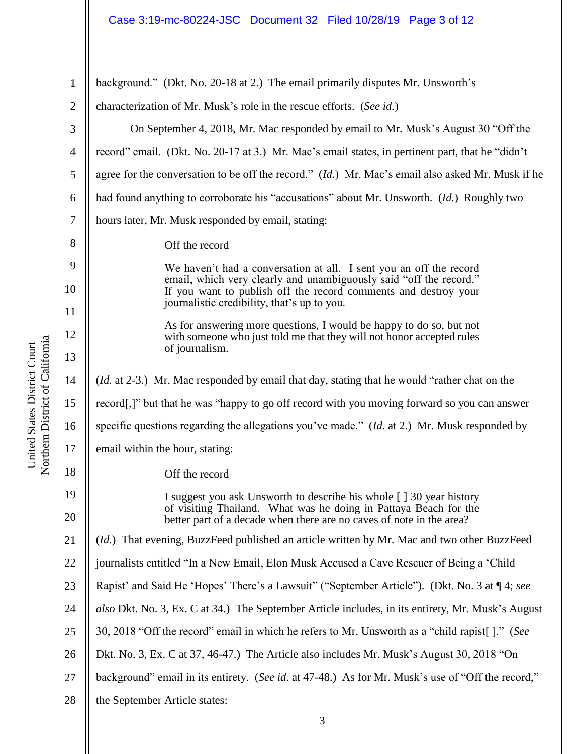## Case 3:19-mc-80224-JSC Document 32 Filed 10/28/19 Page 3 of 12

| 1        | background." (Dkt. No. 20-18 at 2.) The email primarily disputes Mr. Unsworth's                                                          |
|----------|------------------------------------------------------------------------------------------------------------------------------------------|
| 2        | characterization of Mr. Musk's role in the rescue efforts. (See id.)                                                                     |
| 3        | On September 4, 2018, Mr. Mac responded by email to Mr. Musk's August 30 "Off the                                                        |
| 4        | record" email. (Dkt. No. 20-17 at 3.) Mr. Mac's email states, in pertinent part, that he "didn't                                         |
| 5        | agree for the conversation to be off the record." (Id.) Mr. Mac's email also asked Mr. Musk if he                                        |
| 6        | had found anything to corroborate his "accusations" about Mr. Unsworth. (Id.) Roughly two                                                |
| 7        | hours later, Mr. Musk responded by email, stating:                                                                                       |
| 8        | Off the record                                                                                                                           |
| 9        | We haven't had a conversation at all. I sent you an off the record<br>email, which very clearly and unambiguously said "off the record." |
| 10       | If you want to publish off the record comments and destroy your<br>journalistic credibility, that's up to you.                           |
| 11       | As for answering more questions, I would be happy to do so, but not                                                                      |
| 12<br>13 | with someone who just told me that they will not honor accepted rules<br>of journalism.                                                  |
| 14       | ( <i>Id.</i> at 2-3.) Mr. Mac responded by email that day, stating that he would "rather chat on the                                     |
| 15       | record[,]" but that he was "happy to go off record with you moving forward so you can answer                                             |
| 16       | specific questions regarding the allegations you've made." (Id. at 2.) Mr. Musk responded by                                             |
| 17       | email within the hour, stating:                                                                                                          |
| 18       | Off the record                                                                                                                           |
| 19       | I suggest you ask Unsworth to describe his whole [ ] 30 year history                                                                     |
| 20       | of visiting Thailand. What was he doing in Pattaya Beach for the<br>better part of a decade when there are no caves of note in the area? |
| 21       | (Id.) That evening, BuzzFeed published an article written by Mr. Mac and two other BuzzFeed                                              |
| 22       | journalists entitled "In a New Email, Elon Musk Accused a Cave Rescuer of Being a 'Child                                                 |
| 23       | Rapist' and Said He 'Hopes' There's a Lawsuit" ("September Article"). (Dkt. No. 3 at 14; see                                             |
| 24       | also Dkt. No. 3, Ex. C at 34.) The September Article includes, in its entirety, Mr. Musk's August                                        |
| 25       | 30, 2018 "Off the record" email in which he refers to Mr. Unsworth as a "child rapist []." (See                                          |
| 26       | Dkt. No. 3, Ex. C at 37, 46-47.) The Article also includes Mr. Musk's August 30, 2018 "On                                                |
| 27       | background" email in its entirety. (See id. at 47-48.) As for Mr. Musk's use of "Off the record,"                                        |
| 28       | the September Article states:                                                                                                            |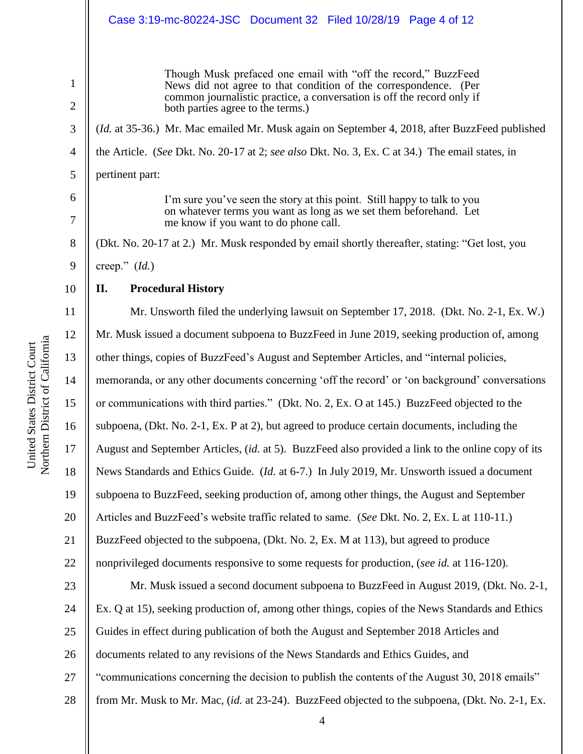|                                | Case 3:19-mc-80224-JSC Document 32 Filed 10/28/19 Page 4 of 12                                                                                                                                                                                    |
|--------------------------------|---------------------------------------------------------------------------------------------------------------------------------------------------------------------------------------------------------------------------------------------------|
| $\mathbf{1}$<br>$\overline{2}$ | Though Musk prefaced one email with "off the record," BuzzFeed<br>News did not agree to that condition of the correspondence. (Per<br>common journalistic practice, a conversation is off the record only if<br>both parties agree to the terms.) |
| 3                              | (Id. at 35-36.) Mr. Mac emailed Mr. Musk again on September 4, 2018, after BuzzFeed published                                                                                                                                                     |
| 4                              | the Article. (See Dkt. No. 20-17 at 2; see also Dkt. No. 3, Ex. C at 34.) The email states, in                                                                                                                                                    |
| 5                              | pertinent part:                                                                                                                                                                                                                                   |
| 6<br>7                         | I'm sure you've seen the story at this point. Still happy to talk to you<br>on whatever terms you want as long as we set them beforehand. Let<br>me know if you want to do phone call.                                                            |
| 8                              | (Dkt. No. 20-17 at 2.) Mr. Musk responded by email shortly thereafter, stating: "Get lost, you                                                                                                                                                    |
| 9                              | creep." $(Id.)$                                                                                                                                                                                                                                   |
| 10                             | <b>Procedural History</b><br>II.                                                                                                                                                                                                                  |
| 11                             | Mr. Unsworth filed the underlying lawsuit on September 17, 2018. (Dkt. No. 2-1, Ex. W.)                                                                                                                                                           |
| 12                             | Mr. Musk issued a document subpoena to BuzzFeed in June 2019, seeking production of, among                                                                                                                                                        |
| 13                             | other things, copies of BuzzFeed's August and September Articles, and "internal policies,                                                                                                                                                         |
| 14                             | memoranda, or any other documents concerning 'off the record' or 'on background' conversations                                                                                                                                                    |
| 15                             | or communications with third parties." (Dkt. No. 2, Ex. O at 145.) BuzzFeed objected to the                                                                                                                                                       |
| 16                             | subpoena, (Dkt. No. 2-1, Ex. P at 2), but agreed to produce certain documents, including the                                                                                                                                                      |
| 17                             | August and September Articles, (id. at 5). BuzzFeed also provided a link to the online copy of its                                                                                                                                                |
| 18                             | News Standards and Ethics Guide. (Id. at 6-7.) In July 2019, Mr. Unsworth issued a document                                                                                                                                                       |
| 19                             | subpoena to BuzzFeed, seeking production of, among other things, the August and September                                                                                                                                                         |
| 20                             | Articles and BuzzFeed's website traffic related to same. (See Dkt. No. 2, Ex. L at 110-11.)                                                                                                                                                       |
| 21                             | BuzzFeed objected to the subpoena, (Dkt. No. 2, Ex. M at 113), but agreed to produce                                                                                                                                                              |
| 22                             | nonprivileged documents responsive to some requests for production, (see id. at 116-120).                                                                                                                                                         |
| 23                             | Mr. Musk issued a second document subpoena to BuzzFeed in August 2019, (Dkt. No. 2-1,                                                                                                                                                             |
| 24                             | Ex. Q at 15), seeking production of, among other things, copies of the News Standards and Ethics                                                                                                                                                  |
| 25                             | Guides in effect during publication of both the August and September 2018 Articles and                                                                                                                                                            |
| 26                             | documents related to any revisions of the News Standards and Ethics Guides, and                                                                                                                                                                   |
| 27                             | "communications concerning the decision to publish the contents of the August 30, 2018 emails"                                                                                                                                                    |
| 28                             | from Mr. Musk to Mr. Mac, (id. at 23-24). BuzzFeed objected to the subpoena, (Dkt. No. 2-1, Ex.                                                                                                                                                   |

United States District Court<br>Northern District of California Northern District of California United States District Court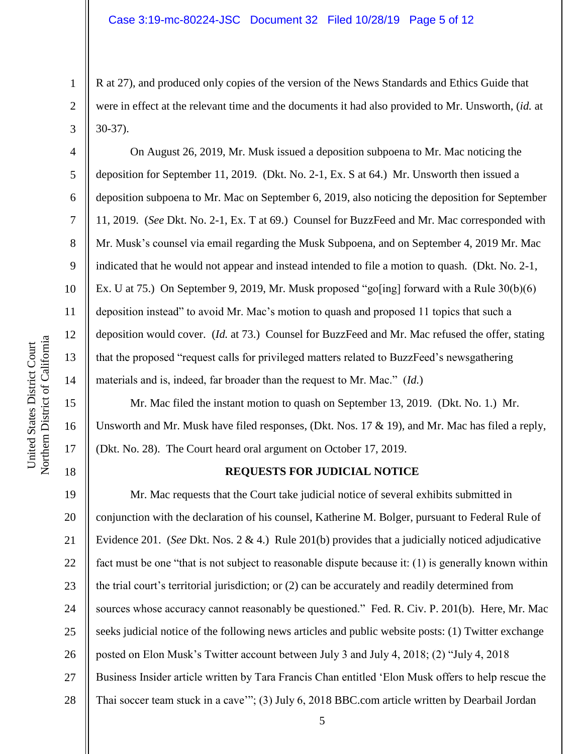R at 27), and produced only copies of the version of the News Standards and Ethics Guide that were in effect at the relevant time and the documents it had also provided to Mr. Unsworth, (*id.* at 30-37).

On August 26, 2019, Mr. Musk issued a deposition subpoena to Mr. Mac noticing the deposition for September 11, 2019. (Dkt. No. 2-1, Ex. S at 64.) Mr. Unsworth then issued a deposition subpoena to Mr. Mac on September 6, 2019, also noticing the deposition for September 11, 2019. (*See* Dkt. No. 2-1, Ex. T at 69.) Counsel for BuzzFeed and Mr. Mac corresponded with Mr. Musk's counsel via email regarding the Musk Subpoena, and on September 4, 2019 Mr. Mac indicated that he would not appear and instead intended to file a motion to quash. (Dkt. No. 2-1, Ex. U at 75.) On September 9, 2019, Mr. Musk proposed "go[ing] forward with a Rule 30(b)(6) deposition instead" to avoid Mr. Mac's motion to quash and proposed 11 topics that such a deposition would cover. (*Id.* at 73.) Counsel for BuzzFeed and Mr. Mac refused the offer, stating that the proposed "request calls for privileged matters related to BuzzFeed's newsgathering materials and is, indeed, far broader than the request to Mr. Mac." (*Id.*)

Mr. Mac filed the instant motion to quash on September 13, 2019. (Dkt. No. 1.) Mr. Unsworth and Mr. Musk have filed responses, (Dkt. Nos.  $17 \& 19$ ), and Mr. Mac has filed a reply, (Dkt. No. 28). The Court heard oral argument on October 17, 2019.

### **REQUESTS FOR JUDICIAL NOTICE**

19 20 21 22 23 24 25 26 27 28 Mr. Mac requests that the Court take judicial notice of several exhibits submitted in conjunction with the declaration of his counsel, Katherine M. Bolger, pursuant to Federal Rule of Evidence 201. (*See* Dkt. Nos. 2 & 4.) Rule 201(b) provides that a judicially noticed adjudicative fact must be one "that is not subject to reasonable dispute because it: (1) is generally known within the trial court's territorial jurisdiction; or (2) can be accurately and readily determined from sources whose accuracy cannot reasonably be questioned." Fed. R. Civ. P. 201(b). Here, Mr. Mac seeks judicial notice of the following news articles and public website posts: (1) Twitter exchange posted on Elon Musk's Twitter account between July 3 and July 4, 2018; (2) "July 4, 2018 Business Insider article written by Tara Francis Chan entitled 'Elon Musk offers to help rescue the Thai soccer team stuck in a cave'"; (3) July 6, 2018 BBC.com article written by Dearbail Jordan

1

2

3

4

5

6

7

8

9

10

11

12

13

14

15

16

17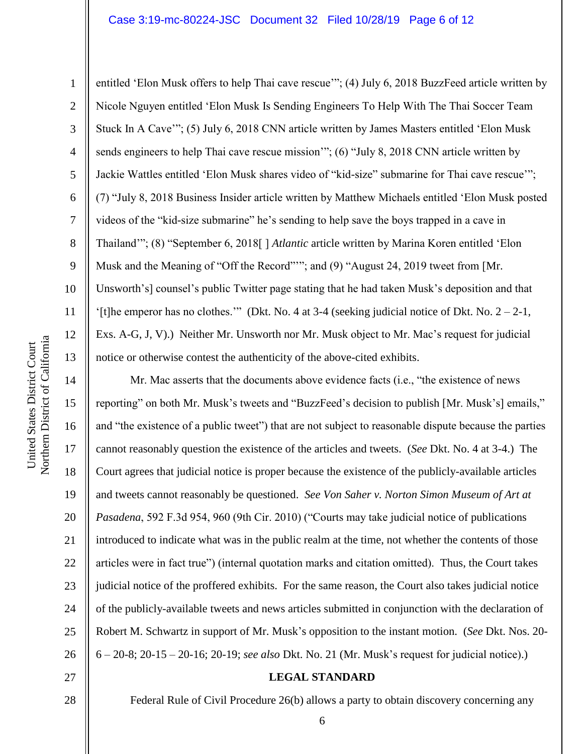#### Case 3:19-mc-80224-JSC Document 32 Filed 10/28/19 Page 6 of 12

Northern District of California Northern District of California United States District Court United States District Court

1

2

3

5

7

8

9

11

12

13

4 6 10 entitled 'Elon Musk offers to help Thai cave rescue'"; (4) July 6, 2018 BuzzFeed article written by Nicole Nguyen entitled 'Elon Musk Is Sending Engineers To Help With The Thai Soccer Team Stuck In A Cave'"; (5) July 6, 2018 CNN article written by James Masters entitled 'Elon Musk sends engineers to help Thai cave rescue mission"; (6) "July 8, 2018 CNN article written by Jackie Wattles entitled 'Elon Musk shares video of "kid-size" submarine for Thai cave rescue'"; (7) "July 8, 2018 Business Insider article written by Matthew Michaels entitled 'Elon Musk posted videos of the "kid-size submarine" he's sending to help save the boys trapped in a cave in Thailand'"; (8) "September 6, 2018[ ] *Atlantic* article written by Marina Koren entitled 'Elon Musk and the Meaning of "Off the Record"'"; and (9) "August 24, 2019 tweet from [Mr. Unsworth's] counsel's public Twitter page stating that he had taken Musk's deposition and that '[t]he emperor has no clothes.'" (Dkt. No. 4 at 3-4 (seeking judicial notice of Dkt. No. 2 – 2-1, Exs. A-G, J, V).) Neither Mr. Unsworth nor Mr. Musk object to Mr. Mac's request for judicial notice or otherwise contest the authenticity of the above-cited exhibits.

14 15 16 17 18 19 20 21 22 23 24 25 26 Mr. Mac asserts that the documents above evidence facts (i.e., "the existence of news reporting" on both Mr. Musk's tweets and "BuzzFeed's decision to publish [Mr. Musk's] emails," and "the existence of a public tweet") that are not subject to reasonable dispute because the parties cannot reasonably question the existence of the articles and tweets. (*See* Dkt. No. 4 at 3-4.) The Court agrees that judicial notice is proper because the existence of the publicly-available articles and tweets cannot reasonably be questioned. *See Von Saher v. Norton Simon Museum of Art at Pasadena*, 592 F.3d 954, 960 (9th Cir. 2010) ("Courts may take judicial notice of publications introduced to indicate what was in the public realm at the time, not whether the contents of those articles were in fact true") (internal quotation marks and citation omitted). Thus, the Court takes judicial notice of the proffered exhibits. For the same reason, the Court also takes judicial notice of the publicly-available tweets and news articles submitted in conjunction with the declaration of Robert M. Schwartz in support of Mr. Musk's opposition to the instant motion. (*See* Dkt. Nos. 20- 6 – 20-8; 20-15 – 20-16; 20-19; *see also* Dkt. No. 21 (Mr. Musk's request for judicial notice).)

27 28

## **LEGAL STANDARD**

Federal Rule of Civil Procedure 26(b) allows a party to obtain discovery concerning any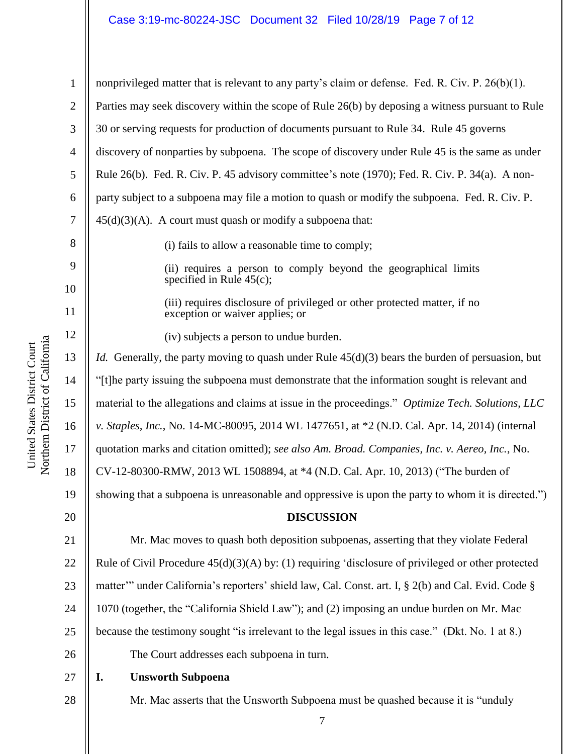#### Case 3:19-mc-80224-JSC Document 32 Filed 10/28/19 Page 7 of 12

Northern District of California Northern District of California United States District Court United States District Court

1 2 3 4 5 6 7 8 9 10 11 12 13 14 15 16 17 18 19 20 21 22 23 24 25 26 27 28 nonprivileged matter that is relevant to any party's claim or defense. Fed. R. Civ. P. 26(b)(1). Parties may seek discovery within the scope of Rule 26(b) by deposing a witness pursuant to Rule 30 or serving requests for production of documents pursuant to Rule 34. Rule 45 governs discovery of nonparties by subpoena. The scope of discovery under Rule 45 is the same as under Rule 26(b). Fed. R. Civ. P. 45 advisory committee's note (1970); Fed. R. Civ. P. 34(a). A nonparty subject to a subpoena may file a motion to quash or modify the subpoena. Fed. R. Civ. P.  $45(d)(3)(A)$ . A court must quash or modify a subpoena that: (i) fails to allow a reasonable time to comply; (ii) requires a person to comply beyond the geographical limits specified in Rule 45(c); (iii) requires disclosure of privileged or other protected matter, if no exception or waiver applies; or (iv) subjects a person to undue burden. *Id.* Generally, the party moving to quash under Rule  $45(d)(3)$  bears the burden of persuasion, but "[t]he party issuing the subpoena must demonstrate that the information sought is relevant and material to the allegations and claims at issue in the proceedings." *Optimize Tech. Solutions, LLC v. Staples, Inc.*, No. 14-MC-80095, 2014 WL 1477651, at \*2 (N.D. Cal. Apr. 14, 2014) (internal quotation marks and citation omitted); *see also Am. Broad. Companies, Inc. v. Aereo, Inc.*, No. CV-12-80300-RMW, 2013 WL 1508894, at \*4 (N.D. Cal. Apr. 10, 2013) ("The burden of showing that a subpoena is unreasonable and oppressive is upon the party to whom it is directed.") **DISCUSSION** Mr. Mac moves to quash both deposition subpoenas, asserting that they violate Federal Rule of Civil Procedure 45(d)(3)(A) by: (1) requiring 'disclosure of privileged or other protected matter'" under California's reporters' shield law, Cal. Const. art. I, § 2(b) and Cal. Evid. Code § 1070 (together, the "California Shield Law"); and (2) imposing an undue burden on Mr. Mac because the testimony sought "is irrelevant to the legal issues in this case." (Dkt. No. 1 at 8.) The Court addresses each subpoena in turn. **I. Unsworth Subpoena** Mr. Mac asserts that the Unsworth Subpoena must be quashed because it is "unduly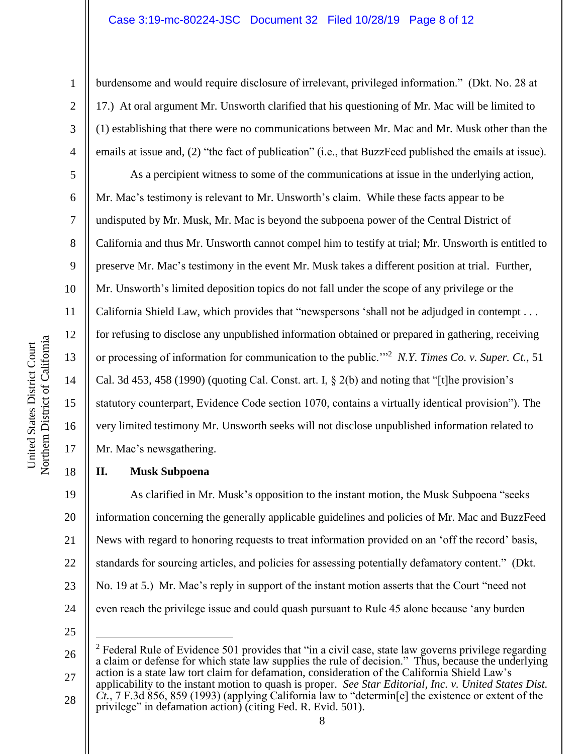#### Case 3:19-mc-80224-JSC Document 32 Filed 10/28/19 Page 8 of 12

1

2

3

4

5

6

7

8

9

10

11

12

13

14

15

16

17

18

burdensome and would require disclosure of irrelevant, privileged information." (Dkt. No. 28 at 17.) At oral argument Mr. Unsworth clarified that his questioning of Mr. Mac will be limited to (1) establishing that there were no communications between Mr. Mac and Mr. Musk other than the emails at issue and, (2) "the fact of publication" (i.e., that BuzzFeed published the emails at issue).

As a percipient witness to some of the communications at issue in the underlying action, Mr. Mac's testimony is relevant to Mr. Unsworth's claim. While these facts appear to be undisputed by Mr. Musk, Mr. Mac is beyond the subpoena power of the Central District of California and thus Mr. Unsworth cannot compel him to testify at trial; Mr. Unsworth is entitled to preserve Mr. Mac's testimony in the event Mr. Musk takes a different position at trial. Further, Mr. Unsworth's limited deposition topics do not fall under the scope of any privilege or the California Shield Law, which provides that "newspersons 'shall not be adjudged in contempt . . . for refusing to disclose any unpublished information obtained or prepared in gathering, receiving or processing of information for communication to the public.'"<sup>2</sup> *N.Y. Times Co. v. Super. Ct.*, 51 Cal. 3d 453, 458 (1990) (quoting Cal. Const. art. I, § 2(b) and noting that "[t]he provision's statutory counterpart, Evidence Code section 1070, contains a virtually identical provision"). The very limited testimony Mr. Unsworth seeks will not disclose unpublished information related to Mr. Mac's newsgathering.

#### **II. Musk Subpoena**

19 20 21 22 23 24 As clarified in Mr. Musk's opposition to the instant motion, the Musk Subpoena "seeks information concerning the generally applicable guidelines and policies of Mr. Mac and BuzzFeed News with regard to honoring requests to treat information provided on an 'off the record' basis, standards for sourcing articles, and policies for assessing potentially defamatory content." (Dkt. No. 19 at 5.) Mr. Mac's reply in support of the instant motion asserts that the Court "need not even reach the privilege issue and could quash pursuant to Rule 45 alone because 'any burden

25

 $\overline{a}$ 

<sup>26</sup> 27  $2$  Federal Rule of Evidence 501 provides that "in a civil case, state law governs privilege regarding a claim or defense for which state law supplies the rule of decision."Thus, because the underlying action is a state law tort claim for defamation, consideration of the California Shield Law's

<sup>28</sup> applicability to the instant motion to quash is proper. *See Star Editorial, Inc. v. United States Dist.*   $\overline{Ct}$ , 7 F.3d 856, 859 (1993) (applying California law to "determin [e] the existence or extent of the privilege" in defamation action) (citing Fed. R. Evid. 501).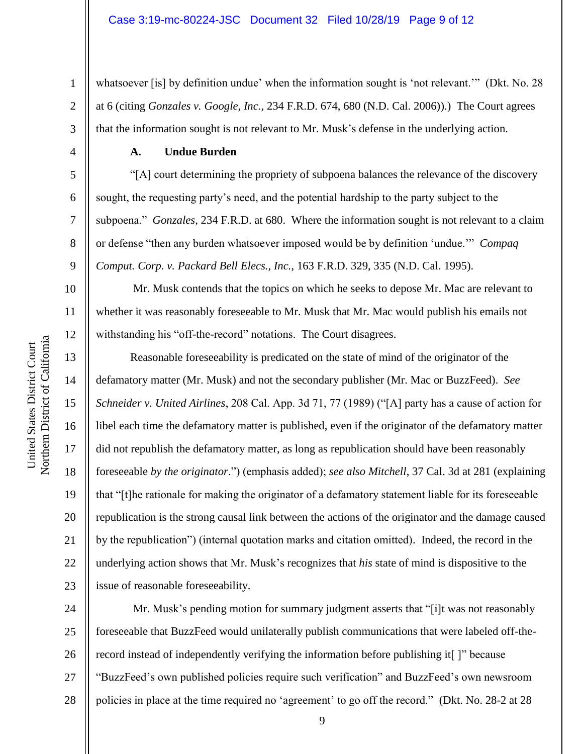whatsoever [is] by definition undue' when the information sought is 'not relevant.'" (Dkt. No. 28 at 6 (citing *Gonzales v. Google, Inc.*, 234 F.R.D. 674, 680 (N.D. Cal. 2006)).) The Court agrees that the information sought is not relevant to Mr. Musk's defense in the underlying action.

#### **A. Undue Burden**

"[A] court determining the propriety of subpoena balances the relevance of the discovery sought, the requesting party's need, and the potential hardship to the party subject to the subpoena."*Gonzales*, 234 F.R.D. at 680. Where the information sought is not relevant to a claim or defense "then any burden whatsoever imposed would be by definition 'undue.'" *Compaq Comput. Corp. v. Packard Bell Elecs., Inc.*, 163 F.R.D. 329, 335 (N.D. Cal. 1995).

Mr. Musk contends that the topics on which he seeks to depose Mr. Mac are relevant to whether it was reasonably foreseeable to Mr. Musk that Mr. Mac would publish his emails not withstanding his "off-the-record" notations. The Court disagrees.

Reasonable foreseeability is predicated on the state of mind of the originator of the defamatory matter (Mr. Musk) and not the secondary publisher (Mr. Mac or BuzzFeed). *See Schneider v. United Airlines*, 208 Cal. App. 3d 71, 77 (1989) ("[A] party has a cause of action for libel each time the defamatory matter is published, even if the originator of the defamatory matter did not republish the defamatory matter, as long as republication should have been reasonably foreseeable *by the originator*.") (emphasis added); *see also Mitchell*, 37 Cal. 3d at 281 (explaining that "[t]he rationale for making the originator of a defamatory statement liable for its foreseeable republication is the strong causal link between the actions of the originator and the damage caused by the republication") (internal quotation marks and citation omitted). Indeed, the record in the underlying action shows that Mr. Musk's recognizes that *his* state of mind is dispositive to the issue of reasonable foreseeability.

24 25 26 27 28 Mr. Musk's pending motion for summary judgment asserts that "[i]t was not reasonably foreseeable that BuzzFeed would unilaterally publish communications that were labeled off-therecord instead of independently verifying the information before publishing it[ ]" because "BuzzFeed's own published policies require such verification" and BuzzFeed's own newsroom policies in place at the time required no 'agreement' to go off the record." (Dkt. No. 28-2 at 28

1

2

3

4

5

6

7

8

9

10

11

12

13

14

15

16

17

18

19

20

21

22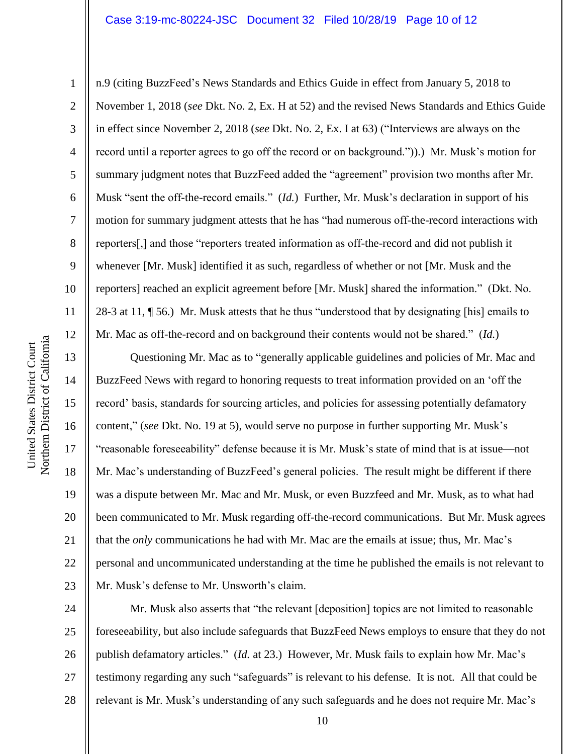n.9 (citing BuzzFeed's News Standards and Ethics Guide in effect from January 5, 2018 to November 1, 2018 (*see* Dkt. No. 2, Ex. H at 52) and the revised News Standards and Ethics Guide in effect since November 2, 2018 (*see* Dkt. No. 2, Ex. I at 63) ("Interviews are always on the record until a reporter agrees to go off the record or on background.")).) Mr. Musk's motion for summary judgment notes that BuzzFeed added the "agreement" provision two months after Mr. Musk "sent the off-the-record emails." (*Id.*) Further, Mr. Musk's declaration in support of his motion for summary judgment attests that he has "had numerous off-the-record interactions with reporters[,] and those "reporters treated information as off-the-record and did not publish it whenever [Mr. Musk] identified it as such, regardless of whether or not [Mr. Musk and the reporters] reached an explicit agreement before [Mr. Musk] shared the information." (Dkt. No. 28-3 at 11, ¶ 56.) Mr. Musk attests that he thus "understood that by designating [his] emails to Mr. Mac as off-the-record and on background their contents would not be shared." (*Id.*)

13 14 15 16 17 18 19 20 21 22 23 Questioning Mr. Mac as to "generally applicable guidelines and policies of Mr. Mac and BuzzFeed News with regard to honoring requests to treat information provided on an 'off the record' basis, standards for sourcing articles, and policies for assessing potentially defamatory content," (*see* Dkt. No. 19 at 5), would serve no purpose in further supporting Mr. Musk's "reasonable foreseeability" defense because it is Mr. Musk's state of mind that is at issue—not Mr. Mac's understanding of BuzzFeed's general policies. The result might be different if there was a dispute between Mr. Mac and Mr. Musk, or even Buzzfeed and Mr. Musk, as to what had been communicated to Mr. Musk regarding off-the-record communications. But Mr. Musk agrees that the *only* communications he had with Mr. Mac are the emails at issue; thus, Mr. Mac's personal and uncommunicated understanding at the time he published the emails is not relevant to Mr. Musk's defense to Mr. Unsworth's claim.

24 25 26 27 28 Mr. Musk also asserts that "the relevant [deposition] topics are not limited to reasonable foreseeability, but also include safeguards that BuzzFeed News employs to ensure that they do not publish defamatory articles." (*Id.* at 23.) However, Mr. Musk fails to explain how Mr. Mac's testimony regarding any such "safeguards" is relevant to his defense. It is not. All that could be relevant is Mr. Musk's understanding of any such safeguards and he does not require Mr. Mac's

1

2

3

4

5

6

7

8

9

10

11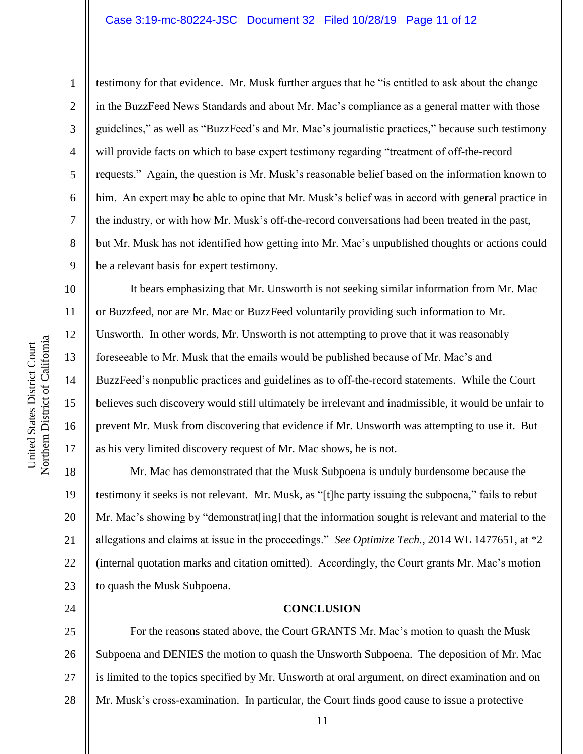#### Case 3:19-mc-80224-JSC Document 32 Filed 10/28/19 Page 11 of 12

1

2

3

4

5

6

7

8

9

10

11

12

13

14

15

16

17

24

testimony for that evidence. Mr. Musk further argues that he "is entitled to ask about the change in the BuzzFeed News Standards and about Mr. Mac's compliance as a general matter with those guidelines," as well as "BuzzFeed's and Mr. Mac's journalistic practices," because such testimony will provide facts on which to base expert testimony regarding "treatment of off-the-record requests." Again, the question is Mr. Musk's reasonable belief based on the information known to him. An expert may be able to opine that Mr. Musk's belief was in accord with general practice in the industry, or with how Mr. Musk's off-the-record conversations had been treated in the past, but Mr. Musk has not identified how getting into Mr. Mac's unpublished thoughts or actions could be a relevant basis for expert testimony.

It bears emphasizing that Mr. Unsworth is not seeking similar information from Mr. Mac or Buzzfeed, nor are Mr. Mac or BuzzFeed voluntarily providing such information to Mr. Unsworth. In other words, Mr. Unsworth is not attempting to prove that it was reasonably foreseeable to Mr. Musk that the emails would be published because of Mr. Mac's and BuzzFeed's nonpublic practices and guidelines as to off-the-record statements. While the Court believes such discovery would still ultimately be irrelevant and inadmissible, it would be unfair to prevent Mr. Musk from discovering that evidence if Mr. Unsworth was attempting to use it. But as his very limited discovery request of Mr. Mac shows, he is not.

18 19 20 21 22 23 Mr. Mac has demonstrated that the Musk Subpoena is unduly burdensome because the testimony it seeks is not relevant. Mr. Musk, as "[t]he party issuing the subpoena," fails to rebut Mr. Mac's showing by "demonstrat[ing] that the information sought is relevant and material to the allegations and claims at issue in the proceedings." *See Optimize Tech.*, 2014 WL 1477651, at \*2 (internal quotation marks and citation omitted). Accordingly, the Court grants Mr. Mac's motion to quash the Musk Subpoena.

#### **CONCLUSION**

25 26 27 28 For the reasons stated above, the Court GRANTS Mr. Mac's motion to quash the Musk Subpoena and DENIES the motion to quash the Unsworth Subpoena. The deposition of Mr. Mac is limited to the topics specified by Mr. Unsworth at oral argument, on direct examination and on Mr. Musk's cross-examination. In particular, the Court finds good cause to issue a protective